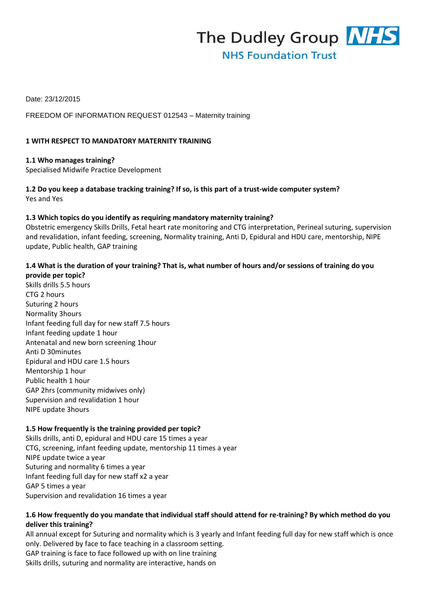

Date: 23/12/2015

FREEDOM OF INFORMATION REQUEST 012543 – Maternity training

#### **1 WITH RESPECT TO MANDATORY MATERNITY TRAINING**

**1.1 Who manages training?**  Specialised Midwife Practice Development

**1.2 Do you keep a database tracking training? If so, is this part of a trust-wide computer system?**  Yes and Yes

#### **1.3 Which topics do you identify as requiring mandatory maternity training?**

Obstetric emergency Skills Drills, Fetal heart rate monitoring and CTG interpretation, Perineal suturing, supervision and revalidation, infant feeding, screening, Normality training, Anti D, Epidural and HDU care, mentorship, NIPE update, Public health, GAP training

# **1.4 What is the duration of your training? That is, what number of hours and/or sessions of training do you provide per topic?**

Skills drills 5.5 hours CTG 2 hours Suturing 2 hours Normality 3hours Infant feeding full day for new staff 7.5 hours Infant feeding update 1 hour Antenatal and new born screening 1hour Anti D 30minutes Epidural and HDU care 1.5 hours Mentorship 1 hour Public health 1 hour GAP 2hrs (community midwives only) Supervision and revalidation 1 hour NIPE update 3hours

# **1.5 How frequently is the training provided per topic?**

Skills drills, anti D, epidural and HDU care 15 times a year CTG, screening, infant feeding update, mentorship 11 times a year NIPE update twice a year Suturing and normality 6 times a year Infant feeding full day for new staff x2 a year GAP 5 times a year Supervision and revalidation 16 times a year

# **1.6 How frequently do you mandate that individual staff should attend for re-training? By which method do you deliver this training?**

All annual except for Suturing and normality which is 3 yearly and Infant feeding full day for new staff which is once only. Delivered by face to face teaching in a classroom setting.

GAP training is face to face followed up with on line training Skills drills, suturing and normality are interactive, hands on